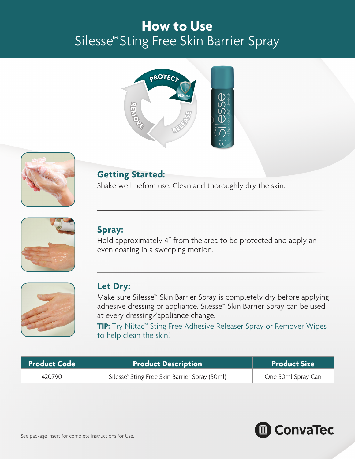# **How to Use**  Silesse™ Sting Free Skin Barrier Spray





## **Getting Started:**

Shake well before use. Clean and thoroughly dry the skin.



### **Spray:**

Hold approximately 4" from the area to be protected and apply an even coating in a sweeping motion.



### **Let Dry:**

Make sure Silesse™ Skin Barrier Spray is completely dry before applying adhesive dressing or appliance. Silesse™ Skin Barrier Spray can be used at every dressing/appliance change.

**TIP:** Try Niltac™ Sting Free Adhesive Releaser Spray or Remover Wipes to help clean the skin!

| <b>Product Code</b> | <b>Product Description</b>                                | <b>Product Size</b> |
|---------------------|-----------------------------------------------------------|---------------------|
| 420790              | Silesse <sup>™</sup> Sting Free Skin Barrier Spray (50ml) | One 50ml Spray Can  |